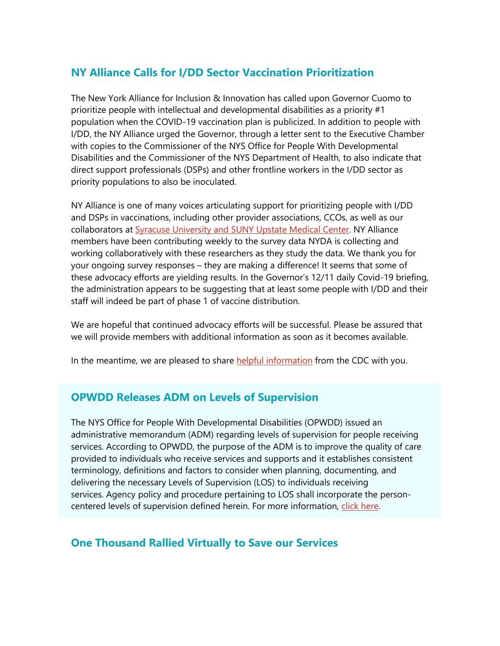## **NY Alliance Calls for I/DD Sector Vaccination Prioritization**

The New York Alliance for Inclusion & Innovation has called upon Governor Cuomo to prioritize people with intellectual and developmental disabilities as a priority #1 population when the COVID-19 vaccination plan is publicized. In addition to people with I/DD, the NY Alliance urged the Governor, through a letter sent to the Executive Chamber with copies to the Commissioner of the NYS Office for People With Developmental Disabilities and the Commissioner of the NYS Department of Health, to also indicate that direct support professionals (DSPs) and other frontline workers in the I/DD sector as priority populations to also be inoculated.

NY Alliance is one of many voices articulating support for prioritizing people with I/DD and DSPs in vaccinations, including other provider associations, CCOs, as well as our collaborators at [Syracuse University and SUNY Upstate Medical Center.](http://r20.rs6.net/tn.jsp?f=0014d_zo5Ywr_sVkoZ76QauZu25h6ZHcWvkKvnTsH5JRx25rQi4n56ZbChGqRBCQz4v1-G9N4zlk0eqqa8HUbYThK2xk-ro0mfc8DGRImQMw8yAPjbF3XRw7no4oi-SLLh_rYMKUDD99OWOOarx07VxhdOm1GeDJR5A_vjn4Rnq7A7n49tsrFRbNLY7-djAhiUm9C3UlXTGE5WIA9oMDFmdwfDx8vSyNkoe-jsP5ptgZNaDJUJTdVXB-yeuZ8WxFT4JS3ePV-t9Y135XdEJvHag_jQ_jt0-BP8e&c=nGwJX4IR_Y5DpRIPLqs677D1xYN7U_kEPqG087wbECzVGlqoFlHYOA==&ch=0a9bKJo05e881OjKskE_Lv9WQm_RneYYFNa3h6k2VPZo_yDxUF1eSQ==) NY Alliance members have been contributing weekly to the survey data NYDA is collecting and working collaboratively with these researchers as they study the data. We thank you for your ongoing survey responses – they are making a difference! It seems that some of these advocacy efforts are yielding results. In the Governor's 12/11 daily Covid-19 briefing, the administration appears to be suggesting that at least some people with I/DD and their staff will indeed be part of phase 1 of vaccine distribution.

We are hopeful that continued advocacy efforts will be successful. Please be assured that we will provide members with additional information as soon as it becomes available.

In the meantime, we are pleased to share [helpful information](http://r20.rs6.net/tn.jsp?f=0014d_zo5Ywr_sVkoZ76QauZu25h6ZHcWvkKvnTsH5JRx25rQi4n56ZbChGqRBCQz4vzlDhEgM7l2k0Snz9TouX317XM13dwIV1pMXXRvcDwshEZvyPOagqYPEJ8bWjko2gYGRPYdFA2_wVp-exLGq2UVmQv49qcbUZrPqpmMIo7qrV98FiSJHPK4p8Xt-83GBGel1vihtGasBm2ochdhpO0xYFiHZazwXj&c=nGwJX4IR_Y5DpRIPLqs677D1xYN7U_kEPqG087wbECzVGlqoFlHYOA==&ch=0a9bKJo05e881OjKskE_Lv9WQm_RneYYFNa3h6k2VPZo_yDxUF1eSQ==) from the CDC with you.

## **OPWDD Releases ADM on Levels of Supervision**

The NYS Office for People With Developmental Disabilities (OPWDD) issued an administrative memorandum (ADM) regarding levels of supervision for people receiving services. According to OPWDD, the purpose of the ADM is to improve the quality of care provided to individuals who receive services and supports and it establishes consistent terminology, definitions and factors to consider when planning, documenting, and delivering the necessary Levels of Supervision (LOS) to individuals receiving services. Agency policy and procedure pertaining to LOS shall incorporate the personcentered levels of supervision defined herein. For more information, [click here.](http://r20.rs6.net/tn.jsp?f=0014d_zo5Ywr_sVkoZ76QauZu25h6ZHcWvkKvnTsH5JRx25rQi4n56ZbChGqRBCQz4vRMrtxh09axw_6wUltLliBRaKiSi4Vy_e-68MP-o0OElbXLxJ8uEp57Qt6DNCfb3nkdCCus4kfLAnwnGIEfJNmoNh3zYJRxvAxw11lF6d0beMcz71fpKCfa2XUgyi8IdNOJKfEoTGBVBbgq0knPM850eoSIU9T8fG&c=nGwJX4IR_Y5DpRIPLqs677D1xYN7U_kEPqG087wbECzVGlqoFlHYOA==&ch=0a9bKJo05e881OjKskE_Lv9WQm_RneYYFNa3h6k2VPZo_yDxUF1eSQ==)

## **One Thousand Rallied Virtually to Save our Services**